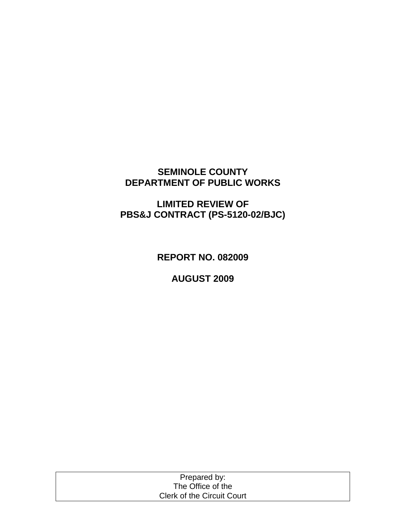# **SEMINOLE COUNTY DEPARTMENT OF PUBLIC WORKS**

# **LIMITED REVIEW OF PBS&J CONTRACT (PS-5120-02/BJC)**

**REPORT NO. 082009**

**AUGUST 2009**

| Prepared by:                      |  |
|-----------------------------------|--|
| The Office of the                 |  |
| <b>Clerk of the Circuit Court</b> |  |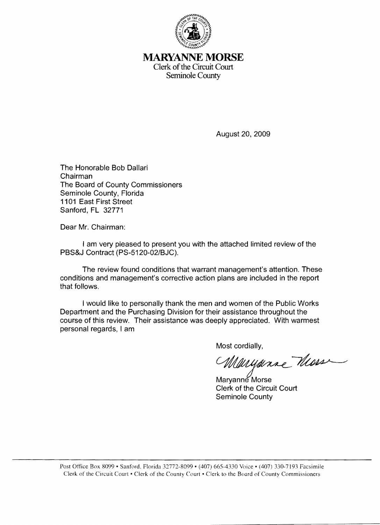

**MARYANNE MORSE** Clerk of the Circuit Court Seminole County

August 20, 2009

The Honorable Bob Dallari Chairman The Board of County Commissioners Seminole County, Florida **1101** East First Street Sanford, FL 32771

Dear Mr. Chairman:

I am very pleased to present you with the attached limited review of the PBS&J Contract (PS-5120-02/BJC).

The review found conditions that warrant management's attention. These conditions and management's corrective action plans are included in the report that follows.

I would like to personally thank the men and women of the Public Works Department and the Purchasing Division for their assistance throughout the course of this review. Their assistance was deeply appreciated. With warmest personal regards, I am

Most cordially,

Maryarac Moss

Maryanne Morse Clerk of the Circuit Court Seminole County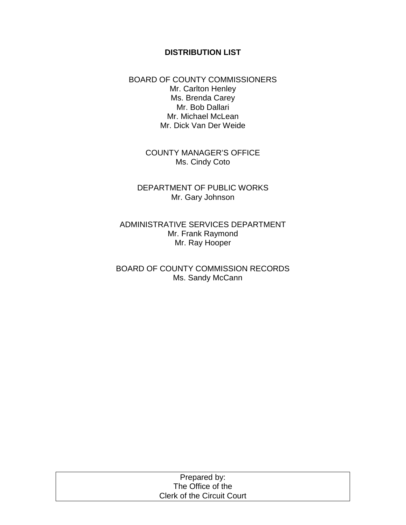### **DISTRIBUTION LIST**

BOARD OF COUNTY COMMISSIONERS Mr. Carlton Henley Ms. Brenda Carey Mr. Bob Dallari Mr. Michael McLean Mr. Dick Van Der Weide

> COUNTY MANAGER'S OFFICE Ms. Cindy Coto

DEPARTMENT OF PUBLIC WORKS Mr. Gary Johnson

ADMINISTRATIVE SERVICES DEPARTMENT Mr. Frank Raymond Mr. Ray Hooper

BOARD OF COUNTY COMMISSION RECORDS Ms. Sandy McCann

| Prepared by:                      |  |
|-----------------------------------|--|
| The Office of the                 |  |
| <b>Clerk of the Circuit Court</b> |  |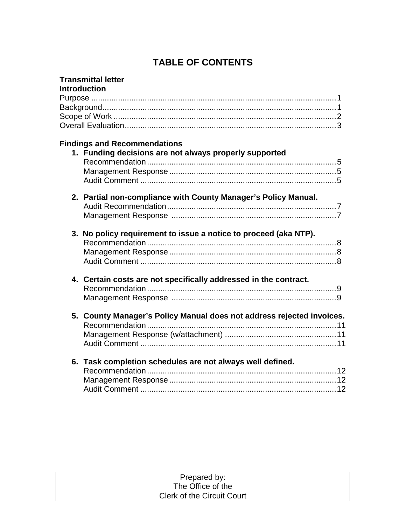# **TABLE OF CONTENTS**

| <b>Transmittal letter</b>                                             |
|-----------------------------------------------------------------------|
| <b>Introduction</b>                                                   |
|                                                                       |
|                                                                       |
|                                                                       |
|                                                                       |
|                                                                       |
| <b>Findings and Recommendations</b>                                   |
| 1. Funding decisions are not always properly supported                |
|                                                                       |
|                                                                       |
|                                                                       |
| 2. Partial non-compliance with County Manager's Policy Manual.        |
|                                                                       |
|                                                                       |
|                                                                       |
| 3. No policy requirement to issue a notice to proceed (aka NTP).      |
|                                                                       |
|                                                                       |
|                                                                       |
|                                                                       |
| 4. Certain costs are not specifically addressed in the contract.      |
|                                                                       |
|                                                                       |
|                                                                       |
| 5. County Manager's Policy Manual does not address rejected invoices. |
|                                                                       |
|                                                                       |
|                                                                       |
|                                                                       |
| 6. Task completion schedules are not always well defined.             |
|                                                                       |
|                                                                       |
|                                                                       |

| Prepared by:                      |  |
|-----------------------------------|--|
| The Office of the                 |  |
| <b>Clerk of the Circuit Court</b> |  |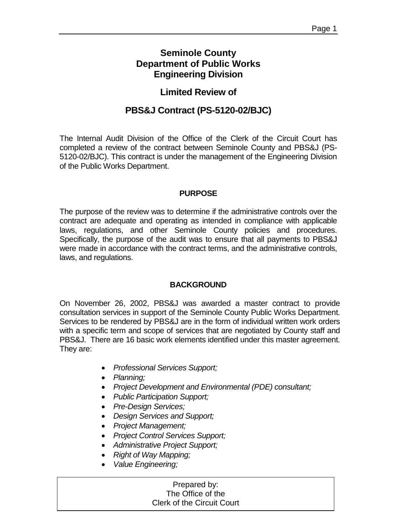# **Seminole County Department of Public Works Engineering Division**

# **Limited Review of**

# **PBS&J Contract (PS-5120-02/BJC)**

The Internal Audit Division of the Office of the Clerk of the Circuit Court has completed a review of the contract between Seminole County and PBS&J (PS-5120-02/BJC). This contract is under the management of the Engineering Division of the Public Works Department.

### **PURPOSE**

The purpose of the review was to determine if the administrative controls over the contract are adequate and operating as intended in compliance with applicable laws, regulations, and other Seminole County policies and procedures. Specifically, the purpose of the audit was to ensure that all payments to PBS&J were made in accordance with the contract terms, and the administrative controls, laws, and regulations.

#### **BACKGROUND**

On November 26, 2002, PBS&J was awarded a master contract to provide consultation services in support of the Seminole County Public Works Department. Services to be rendered by PBS&J are in the form of individual written work orders with a specific term and scope of services that are negotiated by County staff and PBS&J. There are 16 basic work elements identified under this master agreement. They are:

- *Professional Services Support;*
- *Planning;*
- *Project Development and Environmental (PDE) consultant;*
- *Public Participation Support;*
- *Pre-Design Services;*
- *Design Services and Support;*
- *Project Management;*
- *Project Control Services Support;*
- *Administrative Project Support;*
- *Right of Way Mapping;*
- *Value Engineering;*

### Prepared by: The Office of the Clerk of the Circuit Court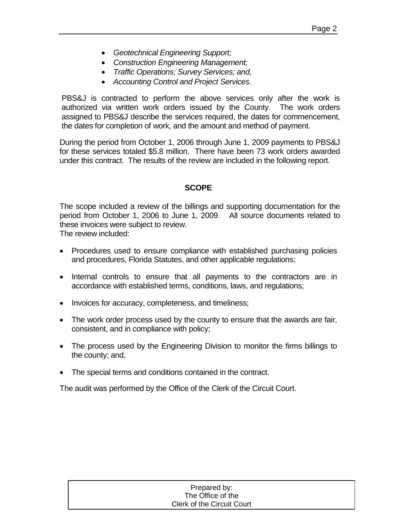- *Geotechnical Engineering Support;*
- *Construction Engineering Management;*
- *Traffic Operations; Survey Services; and,*
- *Accounting Control and Project Services.*

PBS&J is contracted to perform the above services only after the work is authorized via written work orders issued by the County. The work orders assigned to PBS&J describe the services required, the dates for commencement, the dates for completion of work, and the amount and method of payment.

During the period from October 1, 2006 through June 1, 2009 payments to PBS&J for these services totaled \$5.8 million. There have been 73 work orders awarded under this contract. The results of the review are included in the following report.

### **SCOPE**

The scope included a review of the billings and supporting documentation for the period from October 1, 2006 to June 1, 2009. All source documents related to these invoices were subject to review.

The review included:

- Procedures used to ensure compliance with established purchasing policies and procedures, Florida Statutes, and other applicable regulations;
- Internal controls to ensure that all payments to the contractors are in accordance with established terms, conditions, laws, and regulations;
- Invoices for accuracy, completeness, and timeliness;
- The work order process used by the county to ensure that the awards are fair, consistent, and in compliance with policy;
- The process used by the Engineering Division to monitor the firms billings to the county; and,
- The special terms and conditions contained in the contract.

The audit was performed by the Office of the Clerk of the Circuit Court.

#### $T_{\rm{ho}}$ . The Office of the Clerk of the Circuit Clerk of the Circuit Court Prepared by: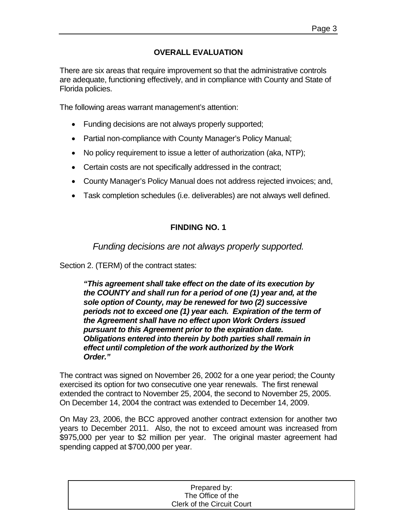# **OVERALL EVALUATION**

There are six areas that require improvement so that the administrative controls are adequate, functioning effectively, and in compliance with County and State of Florida policies.

The following areas warrant management's attention:

- Funding decisions are not always properly supported;
- Partial non-compliance with County Manager's Policy Manual;
- No policy requirement to issue a letter of authorization (aka, NTP);
- Certain costs are not specifically addressed in the contract;
- County Manager's Policy Manual does not address rejected invoices; and,
- Task completion schedules (i.e. deliverables) are not always well defined.

# **FINDING NO. 1**

*Funding decisions are not always properly supported.*

Section 2. (TERM) of the contract states:

*"This agreement shall take effect on the date of its execution by the COUNTY and shall run for a period of one (1) year and, at the sole option of County, may be renewed for two (2) successive periods not to exceed one (1) year each. Expiration of the term of the Agreement shall have no effect upon Work Orders issued pursuant to this Agreement prior to the expiration date. Obligations entered into therein by both parties shall remain in effect until completion of the work authorized by the Work Order."*

The contract was signed on November 26, 2002 for a one year period; the County exercised its option for two consecutive one year renewals.The first renewal extended the contract to November 25, 2004, the second to November 25, 2005. On December 14, 2004 the contract was extended to December 14, 2009.

On May 23, 2006, the BCC approved another contract extension for another two years to December 2011. Also, the not to exceed amount was increased from \$975,000 per year to \$2 million per year. The original master agreement had spending capped at \$700,000 per year.

| Prepared by:                      |  |
|-----------------------------------|--|
| The Office of the                 |  |
| <b>Clerk of the Circuit Court</b> |  |
|                                   |  |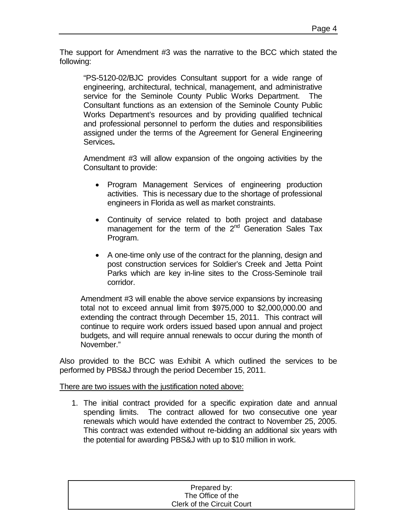The support for Amendment #3 was the narrative to the BCC which stated the following:

"PS-5120-02/BJC provides Consultant support for a wide range of engineering, architectural, technical, management, and administrative service for the Seminole County Public Works Department. The Consultant functions as an extension of the Seminole County Public Works Department's resources and by providing qualified technical and professional personnel to perform the duties and responsibilities assigned under the terms of the Agreement for General Engineering Services**.**

Amendment #3 will allow expansion of the ongoing activities by the Consultant to provide:

- Program Management Services of engineering production activities. This is necessary due to the shortage of professional engineers in Florida as well as market constraints.
- Continuity of service related to both project and database management for the term of the  $2^{nd}$  Generation Sales Tax Program.
- A one-time only use of the contract for the planning, design and post construction services for Soldier's Creek and Jetta Point Parks which are key in-line sites to the Cross-Seminole trail corridor.

Amendment #3 will enable the above service expansions by increasing total not to exceed annual limit from \$975,000 to \$2,000,000.00 and extending the contract through December 15, 2011. This contract will continue to require work orders issued based upon annual and project budgets, and will require annual renewals to occur during the month of November."

Also provided to the BCC was Exhibit A which outlined the services to be performed by PBS&J through the period December 15, 2011.

There are two issues with the justification noted above:

1. The initial contract provided for a specific expiration date and annual spending limits. The contract allowed for two consecutive one year renewals which would have extended the contract to November 25, 2005. This contract was extended without re-bidding an additional six years with the potential for awarding PBS&J with up to \$10 million in work.

| Prepared by:               |  |
|----------------------------|--|
| The Office of the          |  |
| Clerk of the Circuit Court |  |
|                            |  |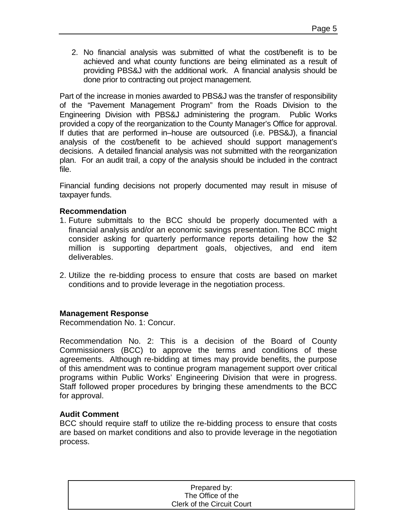2. No financial analysis was submitted of what the cost/benefit is to be achieved and what county functions are being eliminated as a result of providing PBS&J with the additional work. A financial analysis should be done prior to contracting out project management.

Part of the increase in monies awarded to PBS&J was the transfer of responsibility of the "Pavement Management Program" from the Roads Division to the Engineering Division with PBS&J administering the program. Public Works provided a copy of the reorganization to the County Manager's Office for approval. If duties that are performed in–house are outsourced (i.e. PBS&J), a financial analysis of the cost/benefit to be achieved should support management's decisions. A detailed financial analysis was not submitted with the reorganization plan. For an audit trail, a copy of the analysis should be included in the contract file.

Financial funding decisions not properly documented may result in misuse of taxpayer funds.

### **Recommendation**

- 1. Future submittals to the BCC should be properly documented with a financial analysis and/or an economic savings presentation. The BCC might consider asking for quarterly performance reports detailing how the \$2 million is supporting department goals, objectives, and end item deliverables.
- 2. Utilize the re-bidding process to ensure that costs are based on market conditions and to provide leverage in the negotiation process.

### **Management Response**

Recommendation No. 1: Concur.

Recommendation No. 2: This is a decision of the Board of County Commissioners (BCC) to approve the terms and conditions of these agreements. Although re-bidding at times may provide benefits, the purpose of this amendment was to continue program management support over critical programs within Public Works' Engineering Division that were in progress. Staff followed proper procedures by bringing these amendments to the BCC for approval.

#### **Audit Comment**

BCC should require staff to utilize the re-bidding process to ensure that costs are based on market conditions and also to provide leverage in the negotiation process.

| Prepared by:               |  |
|----------------------------|--|
| The Office of the          |  |
| Clerk of the Circuit Court |  |
|                            |  |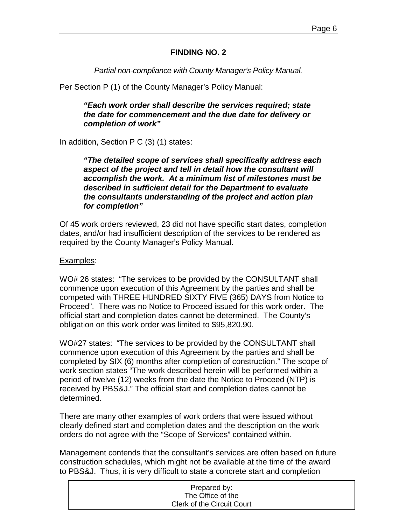### **FINDING NO. 2**

*Partial non-compliance with County Manager's Policy Manual.*

Per Section P (1) of the County Manager's Policy Manual:

*"Each work order shall describe the services required; state the date for commencement and the due date for delivery or completion of work"*

In addition, Section P C (3) (1) states:

*"The detailed scope of services shall specifically address each aspect of the project and tell in detail how the consultant will accomplish the work. At a minimum list of milestones must be described in sufficient detail for the Department to evaluate the consultants understanding of the project and action plan for completion"*

Of 45 work orders reviewed, 23 did not have specific start dates, completion dates, and/or had insufficient description of the services to be rendered as required by the County Manager's Policy Manual.

### Examples:

WO# 26 states: "The services to be provided by the CONSULTANT shall commence upon execution of this Agreement by the parties and shall be competed with THREE HUNDRED SIXTY FIVE (365) DAYS from Notice to Proceed". There was no Notice to Proceed issued for this work order. The official start and completion dates cannot be determined. The County's obligation on this work order was limited to \$95,820.90.

WO#27 states: "The services to be provided by the CONSULTANT shall commence upon execution of this Agreement by the parties and shall be completed by SIX (6) months after completion of construction." The scope of work section states "The work described herein will be performed within a period of twelve (12) weeks from the date the Notice to Proceed (NTP) is received by PBS&J." The official start and completion dates cannot be determined.

There are many other examples of work orders that were issued without clearly defined start and completion dates and the description on the work orders do not agree with the "Scope of Services" contained within.

Management contends that the consultant's services are often based on future construction schedules, which might not be available at the time of the award to PBS&J. Thus, it is very difficult to state a concrete start and completion

| Prepared by:               |  |
|----------------------------|--|
| The Office of the          |  |
| Clerk of the Circuit Court |  |
|                            |  |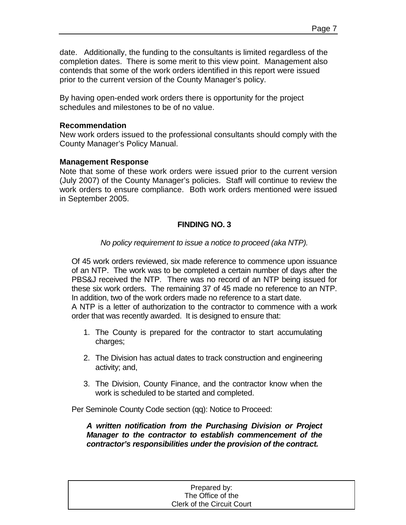date. Additionally, the funding to the consultants is limited regardless of the completion dates. There is some merit to this view point. Management also contends that some of the work orders identified in this report were issued prior to the current version of the County Manager's policy.

By having open-ended work orders there is opportunity for the project schedules and milestones to be of no value.

### **Recommendation**

New work orders issued to the professional consultants should comply with the County Manager's Policy Manual.

### **Management Response**

Note that some of these work orders were issued prior to the current version (July 2007) of the County Manager's policies. Staff will continue to review the work orders to ensure compliance. Both work orders mentioned were issued in September 2005.

## **FINDING NO. 3**

### *No policy requirement to issue a notice to proceed (aka NTP).*

Of 45 work orders reviewed, six made reference to commence upon issuance of an NTP. The work was to be completed a certain number of days after the PBS&J received the NTP. There was no record of an NTP being issued for these six work orders. The remaining 37 of 45 made no reference to an NTP. In addition, two of the work orders made no reference to a start date.

A NTP is a letter of authorization to the contractor to commence with a work order that was recently awarded. It is designed to ensure that:

- 1. The County is prepared for the contractor to start accumulating charges;
- 2. The Division has actual dates to track construction and engineering activity; and,
- 3. The Division, County Finance, and the contractor know when the work is scheduled to be started and completed.

Per Seminole County Code section (qq): Notice to Proceed:

*A written notification from the Purchasing Division or Project Manager to the contractor to establish commencement of the contractor's responsibilities under the provision of the contract.* 

| Prepared by:                      |  |
|-----------------------------------|--|
| The Office of the                 |  |
| <b>Clerk of the Circuit Court</b> |  |
|                                   |  |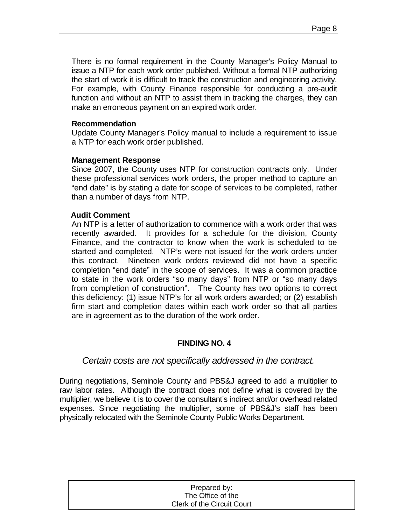There is no formal requirement in the County Manager's Policy Manual to issue a NTP for each work order published. Without a formal NTP authorizing the start of work it is difficult to track the construction and engineering activity. For example, with County Finance responsible for conducting a pre-audit function and without an NTP to assist them in tracking the charges, they can make an erroneous payment on an expired work order.

### **Recommendation**

Update County Manager's Policy manual to include a requirement to issue a NTP for each work order published.

### **Management Response**

Since 2007, the County uses NTP for construction contracts only. Under these professional services work orders, the proper method to capture an "end date" is by stating a date for scope of services to be completed, rather than a number of days from NTP.

### **Audit Comment**

An NTP is a letter of authorization to commence with a work order that was recently awarded. It provides for a schedule for the division, County Finance, and the contractor to know when the work is scheduled to be started and completed. NTP's were not issued for the work orders under this contract. Nineteen work orders reviewed did not have a specific completion "end date" in the scope of services. It was a common practice to state in the work orders "so many days" from NTP or "so many days from completion of construction". The County has two options to correct this deficiency: (1) issue NTP's for all work orders awarded; or (2) establish firm start and completion dates within each work order so that all parties are in agreement as to the duration of the work order.

### **FINDING NO. 4**

### *Certain costs are not specifically addressed in the contract.*

During negotiations, Seminole County and PBS&J agreed to add a multiplier to raw labor rates. Although the contract does not define what is covered by the multiplier, we believe it is to cover the consultant's indirect and/or overhead related expenses. Since negotiating the multiplier, some of PBS&J's staff has been physically relocated with the Seminole County Public Works Department.

| Prepared by:                      |  |
|-----------------------------------|--|
| The Office of the                 |  |
| <b>Clerk of the Circuit Court</b> |  |
|                                   |  |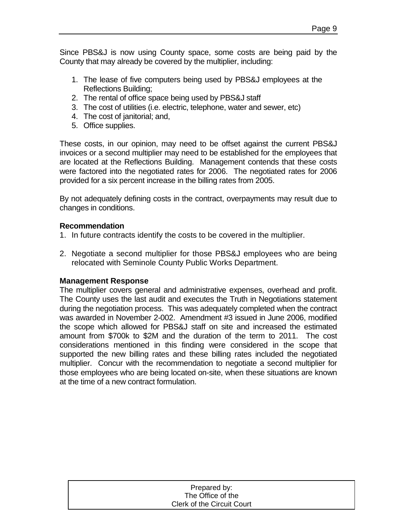Since PBS&J is now using County space, some costs are being paid by the County that may already be covered by the multiplier, including:

- 1. The lease of five computers being used by PBS&J employees at the Reflections Building;
- 2. The rental of office space being used by PBS&J staff
- 3. The cost of utilities (i.e. electric, telephone, water and sewer, etc)
- 4. The cost of janitorial; and,
- 5. Office supplies.

These costs, in our opinion, may need to be offset against the current PBS&J invoices or a second multiplier may need to be established for the employees that are located at the Reflections Building. Management contends that these costs were factored into the negotiated rates for 2006. The negotiated rates for 2006 provided for a six percent increase in the billing rates from 2005.

By not adequately defining costs in the contract, overpayments may result due to changes in conditions.

### **Recommendation**

- 1. In future contracts identify the costs to be covered in the multiplier.
- 2. Negotiate a second multiplier for those PBS&J employees who are being relocated with Seminole County Public Works Department.

### **Management Response**

The multiplier covers general and administrative expenses, overhead and profit. The County uses the last audit and executes the Truth in Negotiations statement during the negotiation process. This was adequately completed when the contract was awarded in November 2-002. Amendment #3 issued in June 2006, modified the scope which allowed for PBS&J staff on site and increased the estimated amount from \$700k to \$2M and the duration of the term to 2011. The cost considerations mentioned in this finding were considered in the scope that supported the new billing rates and these billing rates included the negotiated multiplier. Concur with the recommendation to negotiate a second multiplier for those employees who are being located on-site, when these situations are known at the time of a new contract formulation.

| Prepared by:               |  |
|----------------------------|--|
| The Office of the          |  |
| Clerk of the Circuit Court |  |
|                            |  |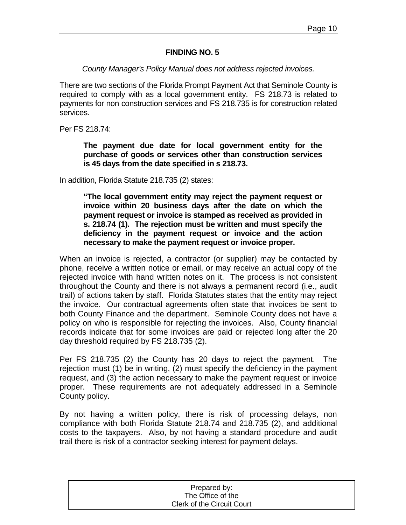### **FINDING NO. 5**

### *County Manager's Policy Manual does not address rejected invoices.*

There are two sections of the Florida Prompt Payment Act that Seminole County is required to comply with as a local government entity. FS 218.73 is related to payments for non construction services and FS 218.735 is for construction related services.

Per FS 218.74:

**The payment due date for local government entity for the purchase of goods or services other than construction services is 45 days from the date specified in s 218.73.** 

In addition, Florida Statute 218.735 (2) states:

**"The local government entity may reject the payment request or invoice within 20 business days after the date on which the payment request or invoice is stamped as received as provided in s. 218.74 (1). The rejection must be written and must specify the deficiency in the payment request or invoice and the action necessary to make the payment request or invoice proper.** 

When an invoice is rejected, a contractor (or supplier) may be contacted by phone, receive a written notice or email, or may receive an actual copy of the rejected invoice with hand written notes on it. The process is not consistent throughout the County and there is not always a permanent record (i.e., audit trail) of actions taken by staff. Florida Statutes states that the entity may reject the invoice. Our contractual agreements often state that invoices be sent to both County Finance and the department. Seminole County does not have a policy on who is responsible for rejecting the invoices. Also, County financial records indicate that for some invoices are paid or rejected long after the 20 day threshold required by FS 218.735 (2).

Per FS 218.735 (2) the County has 20 days to reject the payment. The rejection must (1) be in writing, (2) must specify the deficiency in the payment request, and (3) the action necessary to make the payment request or invoice proper. These requirements are not adequately addressed in a Seminole County policy.

By not having a written policy, there is risk of processing delays, non compliance with both Florida Statute 218.74 and 218.735 (2), and additional costs to the taxpayers. Also, by not having a standard procedure and audit trail there is risk of a contractor seeking interest for payment delays.

| Prepared by:               |  |
|----------------------------|--|
| The Office of the          |  |
| Clerk of the Circuit Court |  |
|                            |  |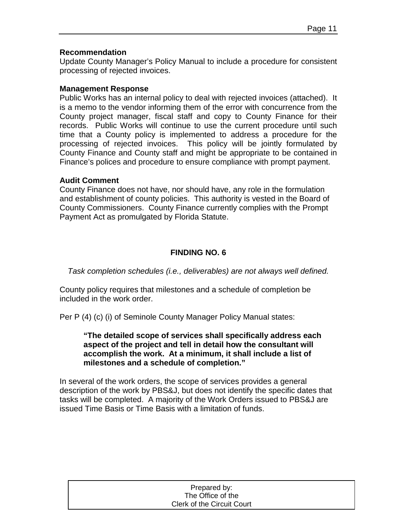### **Recommendation**

Update County Manager's Policy Manual to include a procedure for consistent processing of rejected invoices.

#### **Management Response**

Public Works has an internal policy to deal with rejected invoices (attached). It is a memo to the vendor informing them of the error with concurrence from the County project manager, fiscal staff and copy to County Finance for their records. Public Works will continue to use the current procedure until such time that a County policy is implemented to address a procedure for the processing of rejected invoices. This policy will be jointly formulated by County Finance and County staff and might be appropriate to be contained in Finance's polices and procedure to ensure compliance with prompt payment.

### **Audit Comment**

County Finance does not have, nor should have, any role in the formulation and establishment of county policies. This authority is vested in the Board of County Commissioners. County Finance currently complies with the Prompt Payment Act as promulgated by Florida Statute.

## **FINDING NO. 6**

*Task completion schedules (i.e., deliverables) are not always well defined.*

County policy requires that milestones and a schedule of completion be included in the work order.

Per P (4) (c) (i) of Seminole County Manager Policy Manual states:

**"The detailed scope of services shall specifically address each aspect of the project and tell in detail how the consultant will accomplish the work. At a minimum, it shall include a list of milestones and a schedule of completion."**

In several of the work orders, the scope of services provides a general description of the work by PBS&J, but does not identify the specific dates that tasks will be completed. A majority of the Work Orders issued to PBS&J are issued Time Basis or Time Basis with a limitation of funds.

| Prepared by:                      |  |
|-----------------------------------|--|
| The Office of the                 |  |
| <b>Clerk of the Circuit Court</b> |  |
|                                   |  |